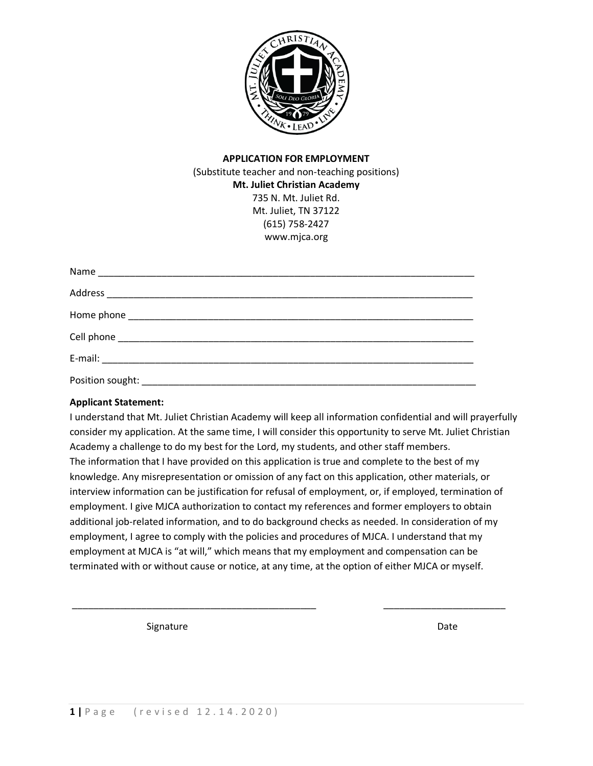

# **APPLICATION FOR EMPLOYMENT** (Substitute teacher and non-teaching positions) **Mt. Juliet Christian Academy** 735 N. Mt. Juliet Rd. Mt. Juliet, TN 37122 (615) 758-2427 www.mjca.org

### **Applicant Statement:**

I understand that Mt. Juliet Christian Academy will keep all information confidential and will prayerfully consider my application. At the same time, I will consider this opportunity to serve Mt. Juliet Christian Academy a challenge to do my best for the Lord, my students, and other staff members. The information that I have provided on this application is true and complete to the best of my knowledge. Any misrepresentation or omission of any fact on this application, other materials, or interview information can be justification for refusal of employment, or, if employed, termination of employment. I give MJCA authorization to contact my references and former employers to obtain additional job-related information, and to do background checks as needed. In consideration of my employment, I agree to comply with the policies and procedures of MJCA. I understand that my employment at MJCA is "at will," which means that my employment and compensation can be terminated with or without cause or notice, at any time, at the option of either MJCA or myself.

\_\_\_\_\_\_\_\_\_\_\_\_\_\_\_\_\_\_\_\_\_\_\_\_\_\_\_\_\_\_\_\_\_\_\_\_\_\_\_\_\_\_\_\_\_\_ \_\_\_\_\_\_\_\_\_\_\_\_\_\_\_\_\_\_\_\_\_\_\_

Signature Date Date Date Date Date Date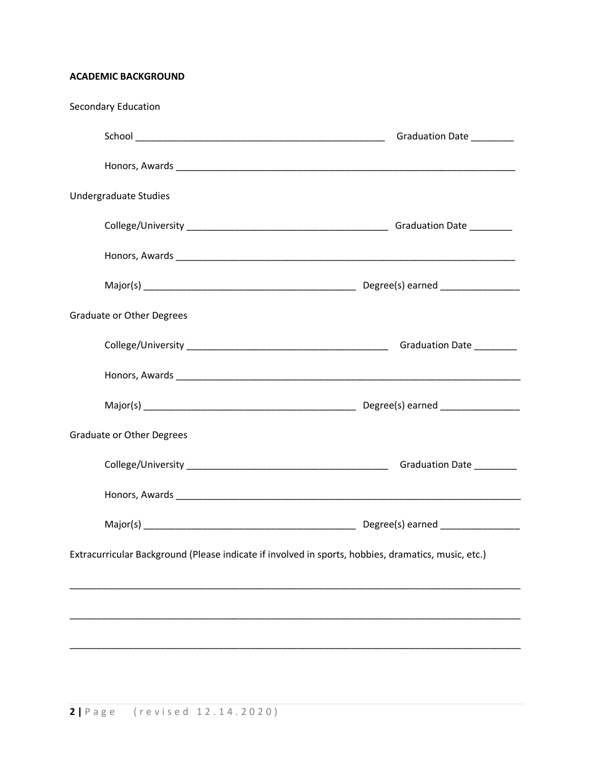# **ACADEMIC BACKGROUND**

| <b>Secondary Education</b>                                                                          |                           |
|-----------------------------------------------------------------------------------------------------|---------------------------|
|                                                                                                     | Graduation Date _________ |
|                                                                                                     |                           |
| <b>Undergraduate Studies</b>                                                                        |                           |
|                                                                                                     |                           |
|                                                                                                     |                           |
|                                                                                                     |                           |
| <b>Graduate or Other Degrees</b>                                                                    |                           |
|                                                                                                     |                           |
|                                                                                                     |                           |
|                                                                                                     |                           |
| <b>Graduate or Other Degrees</b>                                                                    |                           |
|                                                                                                     |                           |
|                                                                                                     |                           |
|                                                                                                     |                           |
| Extracurricular Background (Please indicate if involved in sports, hobbies, dramatics, music, etc.) |                           |
|                                                                                                     |                           |
|                                                                                                     |                           |
|                                                                                                     |                           |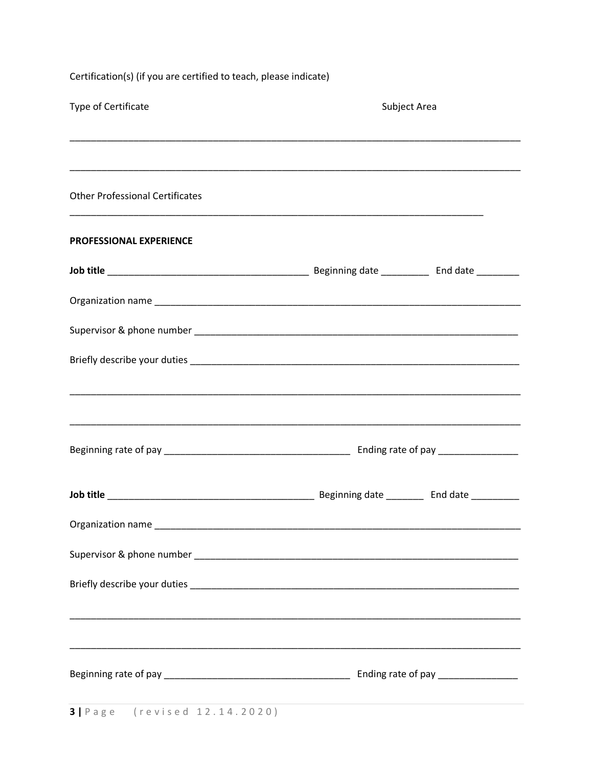| Certification(s) (if you are certified to teach, please indicate)                |              |  |
|----------------------------------------------------------------------------------|--------------|--|
| Type of Certificate                                                              | Subject Area |  |
|                                                                                  |              |  |
| <b>Other Professional Certificates</b>                                           |              |  |
| PROFESSIONAL EXPERIENCE                                                          |              |  |
|                                                                                  |              |  |
|                                                                                  |              |  |
|                                                                                  |              |  |
|                                                                                  |              |  |
|                                                                                  |              |  |
|                                                                                  |              |  |
|                                                                                  |              |  |
|                                                                                  |              |  |
|                                                                                  |              |  |
|                                                                                  |              |  |
|                                                                                  |              |  |
| ,我们也不能在这里的时候,我们也不能在这里的时候,我们也不能会不能会不能会不能会不能会不能会不能会。""我们的人们,我们也不能会不能会不能会不能会不能会不能会不 |              |  |
|                                                                                  |              |  |
|                                                                                  |              |  |
| <b>3</b>   Page (revised 12.14.2020)                                             |              |  |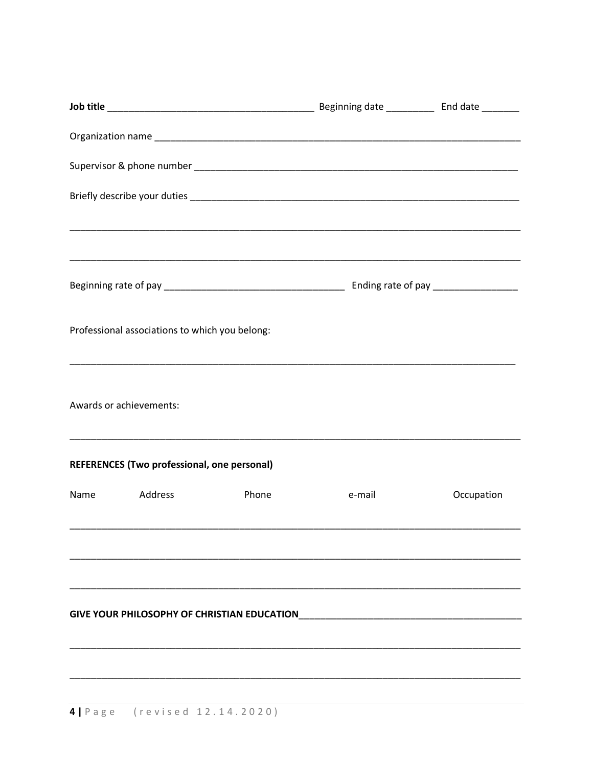|      | Professional associations to which you belong: |       |        |            |
|------|------------------------------------------------|-------|--------|------------|
|      | Awards or achievements:                        |       |        |            |
|      | REFERENCES (Two professional, one personal)    |       |        |            |
| Name | Address                                        | Phone | e-mail | Occupation |
|      |                                                |       |        |            |
|      |                                                |       |        |            |
|      |                                                |       |        |            |
|      |                                                |       |        |            |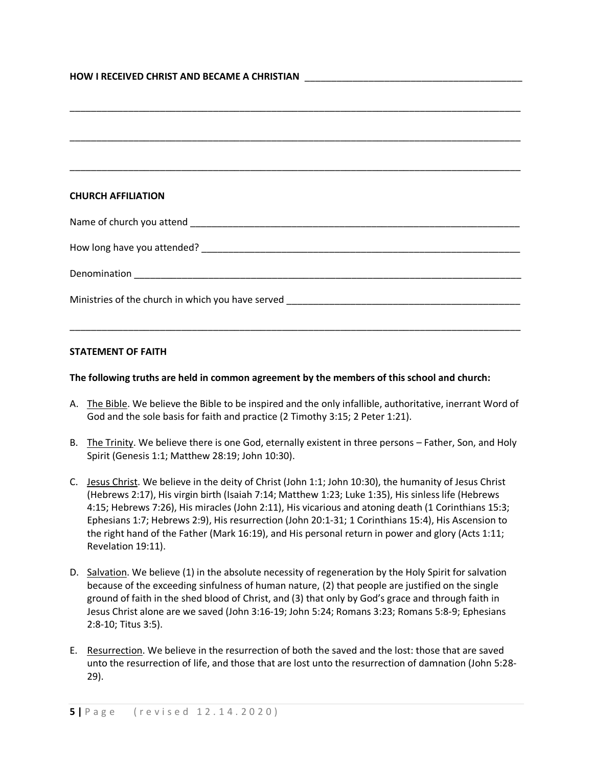| <b>HOW I RECEIVED CHRIST AND BECAME A CHRISTIAN</b> |  |
|-----------------------------------------------------|--|
|                                                     |  |

| <b>CHURCH AFFILIATION</b> |
|---------------------------|
|                           |
|                           |
|                           |
|                           |
|                           |

#### **STATEMENT OF FAITH**

#### **The following truths are held in common agreement by the members of this school and church:**

- A. The Bible. We believe the Bible to be inspired and the only infallible, authoritative, inerrant Word of God and the sole basis for faith and practice (2 Timothy 3:15; 2 Peter 1:21).
- B. The Trinity. We believe there is one God, eternally existent in three persons Father, Son, and Holy Spirit (Genesis 1:1; Matthew 28:19; John 10:30).
- C. Jesus Christ. We believe in the deity of Christ (John 1:1; John 10:30), the humanity of Jesus Christ (Hebrews 2:17), His virgin birth (Isaiah 7:14; Matthew 1:23; Luke 1:35), His sinless life (Hebrews 4:15; Hebrews 7:26), His miracles (John 2:11), His vicarious and atoning death (1 Corinthians 15:3; Ephesians 1:7; Hebrews 2:9), His resurrection (John 20:1-31; 1 Corinthians 15:4), His Ascension to the right hand of the Father (Mark 16:19), and His personal return in power and glory (Acts 1:11; Revelation 19:11).
- D. Salvation. We believe (1) in the absolute necessity of regeneration by the Holy Spirit for salvation because of the exceeding sinfulness of human nature, (2) that people are justified on the single ground of faith in the shed blood of Christ, and (3) that only by God's grace and through faith in Jesus Christ alone are we saved (John 3:16-19; John 5:24; Romans 3:23; Romans 5:8-9; Ephesians 2:8-10; Titus 3:5).
- E. Resurrection. We believe in the resurrection of both the saved and the lost: those that are saved unto the resurrection of life, and those that are lost unto the resurrection of damnation (John 5:28- 29).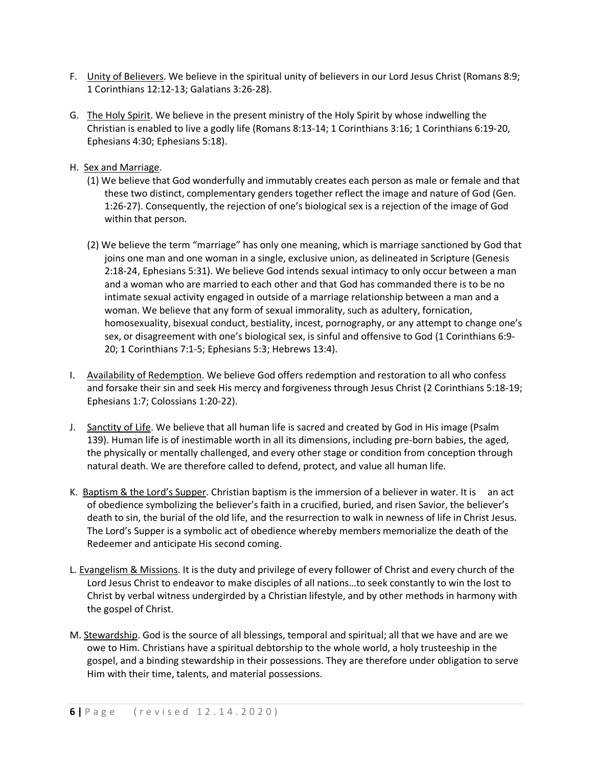- F. Unity of Believers. We believe in the spiritual unity of believers in our Lord Jesus Christ (Romans 8:9; 1 Corinthians 12:12-13; Galatians 3:26-28).
- G. The Holy Spirit. We believe in the present ministry of the Holy Spirit by whose indwelling the Christian is enabled to live a godly life (Romans 8:13-14; 1 Corinthians 3:16; 1 Corinthians 6:19-20, Ephesians 4:30; Ephesians 5:18).
- H. Sex and Marriage.
	- (1) We believe that God wonderfully and immutably creates each person as male or female and that these two distinct, complementary genders together reflect the image and nature of God (Gen. 1:26-27). Consequently, the rejection of one's biological sex is a rejection of the image of God within that person.
	- (2) We believe the term "marriage" has only one meaning, which is marriage sanctioned by God that joins one man and one woman in a single, exclusive union, as delineated in Scripture (Genesis 2:18-24, Ephesians 5:31). We believe God intends sexual intimacy to only occur between a man and a woman who are married to each other and that God has commanded there is to be no intimate sexual activity engaged in outside of a marriage relationship between a man and a woman. We believe that any form of sexual immorality, such as adultery, fornication, homosexuality, bisexual conduct, bestiality, incest, pornography, or any attempt to change one's sex, or disagreement with one's biological sex, is sinful and offensive to God (1 Corinthians 6:9- 20; 1 Corinthians 7:1-5; Ephesians 5:3; Hebrews 13:4).
- I. Availability of Redemption. We believe God offers redemption and restoration to all who confess and forsake their sin and seek His mercy and forgiveness through Jesus Christ (2 Corinthians 5:18-19; Ephesians 1:7; Colossians 1:20-22).
- J. Sanctity of Life. We believe that all human life is sacred and created by God in His image (Psalm 139). Human life is of inestimable worth in all its dimensions, including pre-born babies, the aged, the physically or mentally challenged, and every other stage or condition from conception through natural death. We are therefore called to defend, protect, and value all human life.
- K. Baptism & the Lord's Supper. Christian baptism is the immersion of a believer in water. It is an act of obedience symbolizing the believer's faith in a crucified, buried, and risen Savior, the believer's death to sin, the burial of the old life, and the resurrection to walk in newness of life in Christ Jesus. The Lord's Supper is a symbolic act of obedience whereby members memorialize the death of the Redeemer and anticipate His second coming.
- L. Evangelism & Missions. It is the duty and privilege of every follower of Christ and every church of the Lord Jesus Christ to endeavor to make disciples of all nations…to seek constantly to win the lost to Christ by verbal witness undergirded by a Christian lifestyle, and by other methods in harmony with the gospel of Christ.
- M. Stewardship. God is the source of all blessings, temporal and spiritual; all that we have and are we owe to Him. Christians have a spiritual debtorship to the whole world, a holy trusteeship in the gospel, and a binding stewardship in their possessions. They are therefore under obligation to serve Him with their time, talents, and material possessions.